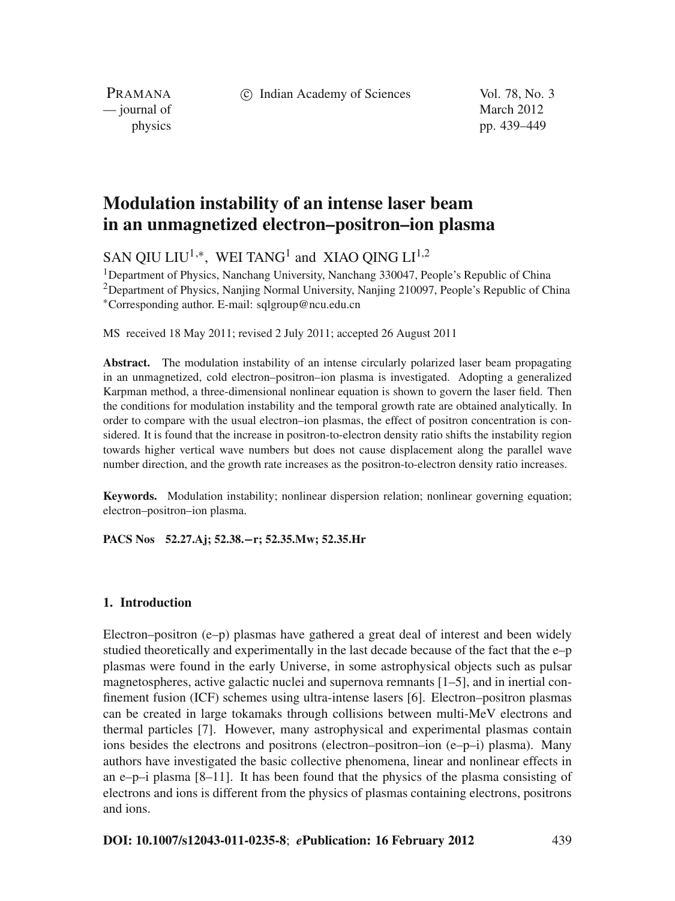c Indian Academy of Sciences Vol. 78, No. 3

PRAMANA — journal of March 2012

physics pp. 439–449

# **Modulation instability of an intense laser beam in an unmagnetized electron–positron–ion plasma**

SAN QIU LIU<sup>1,∗</sup>, WEI TANG<sup>1</sup> and XIAO OING LI<sup>1,2</sup>

<sup>1</sup>Department of Physics, Nanchang University, Nanchang 330047, People's Republic of China 2Department of Physics, Nanjing Normal University, Nanjing 210097, People's Republic of China <sup>∗</sup>Corresponding author. E-mail: sqlgroup@ncu.edu.cn

MS received 18 May 2011; revised 2 July 2011; accepted 26 August 2011

**Abstract.** The modulation instability of an intense circularly polarized laser beam propagating in an unmagnetized, cold electron–positron–ion plasma is investigated. Adopting a generalized Karpman method, a three-dimensional nonlinear equation is shown to govern the laser field. Then the conditions for modulation instability and the temporal growth rate are obtained analytically. In order to compare with the usual electron–ion plasmas, the effect of positron concentration is considered. It is found that the increase in positron-to-electron density ratio shifts the instability region towards higher vertical wave numbers but does not cause displacement along the parallel wave number direction, and the growth rate increases as the positron-to-electron density ratio increases.

**Keywords.** Modulation instability; nonlinear dispersion relation; nonlinear governing equation; electron–positron–ion plasma.

**PACS Nos 52.27.Aj; 52.38.−r; 52.35.Mw; 52.35.Hr**

### **1. Introduction**

Electron–positron (e–p) plasmas have gathered a great deal of interest and been widely studied theoretically and experimentally in the last decade because of the fact that the e–p plasmas were found in the early Universe, in some astrophysical objects such as pulsar magnetospheres, active galactic nuclei and supernova remnants [1–5], and in inertial confinement fusion (ICF) schemes using ultra-intense lasers [6]. Electron–positron plasmas can be created in large tokamaks through collisions between multi-MeV electrons and thermal particles [7]. However, many astrophysical and experimental plasmas contain ions besides the electrons and positrons (electron–positron–ion (e–p–i) plasma). Many authors have investigated the basic collective phenomena, linear and nonlinear effects in an e–p–i plasma  $[8-11]$ . It has been found that the physics of the plasma consisting of electrons and ions is different from the physics of plasmas containing electrons, positrons and ions.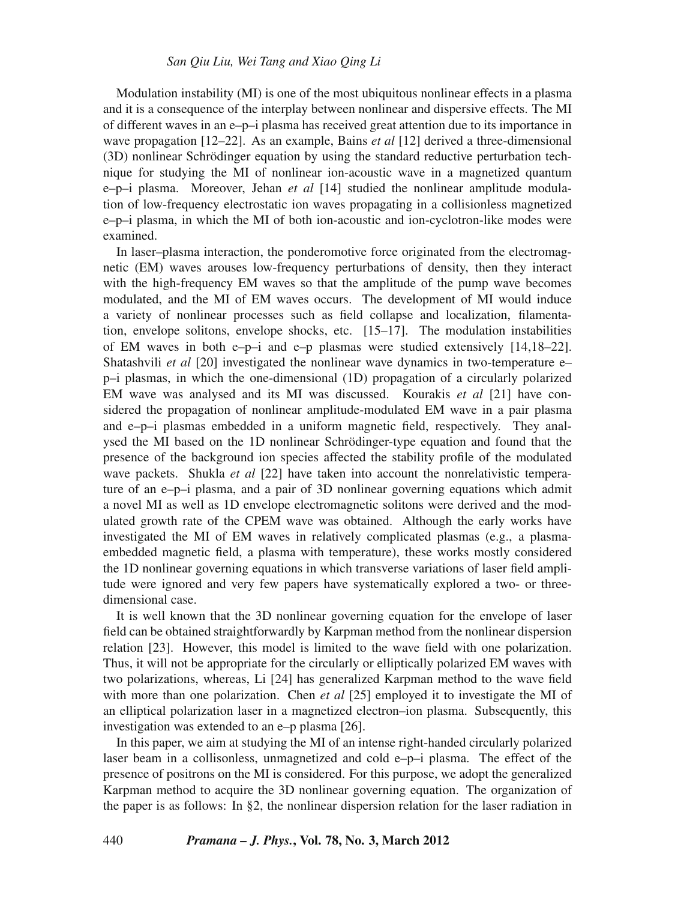Modulation instability (MI) is one of the most ubiquitous nonlinear effects in a plasma and it is a consequence of the interplay between nonlinear and dispersive effects. The MI of different waves in an e–p–i plasma has received great attention due to its importance in wave propagation [12–22]. As an example, Bains *et al* [12] derived a three-dimensional (3D) nonlinear Schrödinger equation by using the standard reductive perturbation technique for studying the MI of nonlinear ion-acoustic wave in a magnetized quantum e–p–i plasma. Moreover, Jehan *et al* [14] studied the nonlinear amplitude modulation of low-frequency electrostatic ion waves propagating in a collisionless magnetized e–p–i plasma, in which the MI of both ion-acoustic and ion-cyclotron-like modes were examined.

In laser–plasma interaction, the ponderomotive force originated from the electromagnetic (EM) waves arouses low-frequency perturbations of density, then they interact with the high-frequency EM waves so that the amplitude of the pump wave becomes modulated, and the MI of EM waves occurs. The development of MI would induce a variety of nonlinear processes such as field collapse and localization, filamentation, envelope solitons, envelope shocks, etc.  $[15-17]$ . The modulation instabilities of EM waves in both e–p–i and e–p plasmas were studied extensively  $[14,18-22]$ . Shatashvili *et al* [20] investigated the nonlinear wave dynamics in two-temperature e– p–i plasmas, in which the one-dimensional (1D) propagation of a circularly polarized EM wave was analysed and its MI was discussed. Kourakis *et al* [21] have considered the propagation of nonlinear amplitude-modulated EM wave in a pair plasma and e–p–i plasmas embedded in a uniform magnetic field, respectively. They analysed the MI based on the 1D nonlinear Schrödinger-type equation and found that the presence of the background ion species affected the stability profile of the modulated wave packets. Shukla *et al* [22] have taken into account the nonrelativistic temperature of an e–p–i plasma, and a pair of 3D nonlinear governing equations which admit a novel MI as well as 1D envelope electromagnetic solitons were derived and the modulated growth rate of the CPEM wave was obtained. Although the early works have investigated the MI of EM waves in relatively complicated plasmas (e.g., a plasmaembedded magnetic field, a plasma with temperature), these works mostly considered the 1D nonlinear governing equations in which transverse variations of laser field amplitude were ignored and very few papers have systematically explored a two- or threedimensional case.

It is well known that the 3D nonlinear governing equation for the envelope of laser field can be obtained straightforwardly by Karpman method from the nonlinear dispersion relation [23]. However, this model is limited to the wave field with one polarization. Thus, it will not be appropriate for the circularly or elliptically polarized EM waves with two polarizations, whereas, Li [24] has generalized Karpman method to the wave field with more than one polarization. Chen *et al* [25] employed it to investigate the MI of an elliptical polarization laser in a magnetized electron–ion plasma. Subsequently, this investigation was extended to an e–p plasma [26].

In this paper, we aim at studying the MI of an intense right-handed circularly polarized laser beam in a collisonless, unmagnetized and cold  $e-p-i$  plasma. The effect of the presence of positrons on the MI is considered. For this purpose, we adopt the generalized Karpman method to acquire the 3D nonlinear governing equation. The organization of the paper is as follows: In §2, the nonlinear dispersion relation for the laser radiation in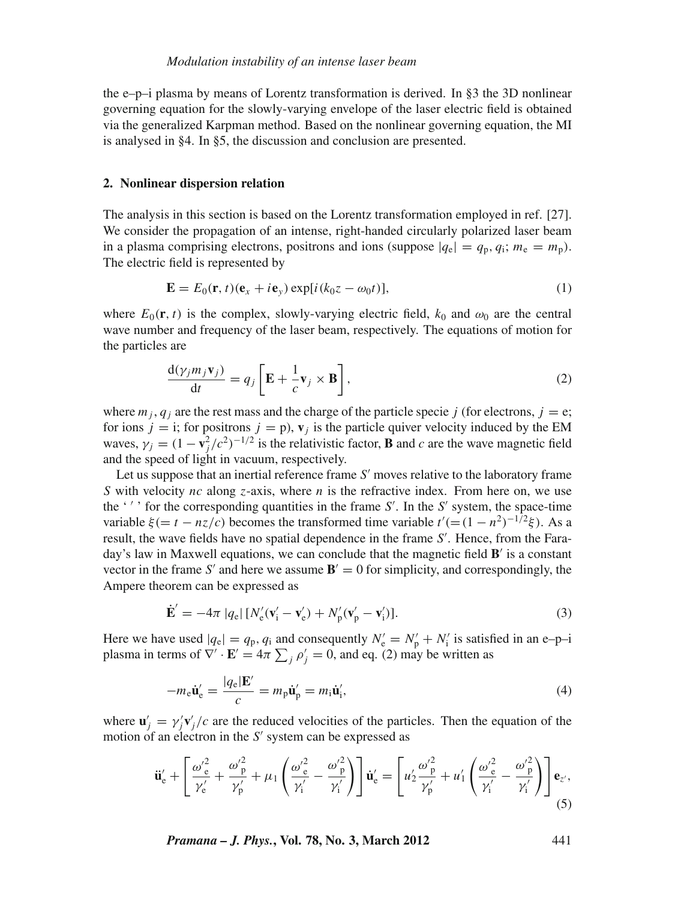the e–p–i plasma by means of Lorentz transformation is derived. In §3 the 3D nonlinear governing equation for the slowly-varying envelope of the laser electric field is obtained via the generalized Karpman method. Based on the nonlinear governing equation, the MI is analysed in §4. In §5, the discussion and conclusion are presented.

#### **2. Nonlinear dispersion relation**

The analysis in this section is based on the Lorentz transformation employed in ref. [27]. We consider the propagation of an intense, right-handed circularly polarized laser beam in a plasma comprising electrons, positrons and ions (suppose  $|q_e| = q_p, q_i; m_e = m_p$ ). The electric field is represented by

$$
\mathbf{E} = E_0(\mathbf{r}, t)(\mathbf{e}_x + i\mathbf{e}_y) \exp[i(k_0 z - \omega_0 t)], \tag{1}
$$

where  $E_0(\mathbf{r}, t)$  is the complex, slowly-varying electric field,  $k_0$  and  $\omega_0$  are the central wave number and frequency of the laser beam, respectively. The equations of motion for the particles are

$$
\frac{\mathrm{d}(\gamma_j m_j \mathbf{v}_j)}{\mathrm{d}t} = q_j \left[ \mathbf{E} + \frac{1}{c} \mathbf{v}_j \times \mathbf{B} \right],\tag{2}
$$

where  $m_j$ ,  $q_j$  are the rest mass and the charge of the particle specie *j* (for electrons,  $j = e$ ; for ions  $j = i$ ; for positrons  $j = p$ ),  $v_j$  is the particle quiver velocity induced by the EM waves,  $\gamma_j = (1 - v_j^2/c^2)^{-1/2}$  is the relativistic factor, **B** and *c* are the wave magnetic field and the speed of light in vacuum, respectively.

Let us suppose that an inertial reference frame *S'* moves relative to the laboratory frame *S* with velocity *nc* along *z*-axis, where *n* is the refractive index. From here on, we use the '' ' for the corresponding quantities in the frame S'. In the S' system, the space-time variable  $\xi$  (=  $t - nz/c$ ) becomes the transformed time variable  $t'$  (=  $(1 - n^2)^{-1/2}\xi$ ). As a result, the wave fields have no spatial dependence in the frame *S* . Hence, from the Faraday's law in Maxwell equations, we can conclude that the magnetic field  $\mathbf{B}'$  is a constant vector in the frame *S'* and here we assume  $\mathbf{B}' = 0$  for simplicity, and correspondingly, the Ampere theorem can be expressed as

$$
\dot{\mathbf{E}}' = -4\pi |q_e| [N_e'(\mathbf{v}_i' - \mathbf{v}_e') + N_p'(\mathbf{v}_p' - \mathbf{v}_i')]. \tag{3}
$$

Here we have used  $|q_e| = q_p$ ,  $q_i$  and consequently  $N'_e = N'_p + N'_i$  is satisfied in an e-p-i plasma in terms of  $\nabla' \cdot \mathbf{E}' = 4\pi \sum_j \rho'_j = 0$ , and eq. (2) may be written as

$$
-m_{e}\dot{\mathbf{u}}'_{e} = \frac{|q_{e}|\mathbf{E}'}{c} = m_{p}\dot{\mathbf{u}}'_{p} = m_{i}\dot{\mathbf{u}}'_{i},
$$
\n(4)

where  $\mathbf{u}'_j = \gamma'_j \mathbf{v}'_j/c$  are the reduced velocities of the particles. Then the equation of the motion of an electron in the *S'* system can be expressed as

$$
\ddot{\mathbf{u}}'_{e} + \left[ \frac{\omega'^{2}_{e}}{\gamma'_{e}} + \frac{\omega'^{2}_{p}}{\gamma'_{p}} + \mu_{1} \left( \frac{\omega'^{2}_{e}}{\gamma'_{i}} - \frac{\omega'^{2}_{p}}{\gamma'_{i}} \right) \right] \dot{\mathbf{u}}'_{e} = \left[ \mu'_{2} \frac{\omega'^{2}_{p}}{\gamma'_{p}} + \mu'_{1} \left( \frac{\omega'^{2}_{e}}{\gamma'_{i}} - \frac{\omega'^{2}_{p}}{\gamma'_{i}} \right) \right] \mathbf{e}_{z'}, \tag{5}
$$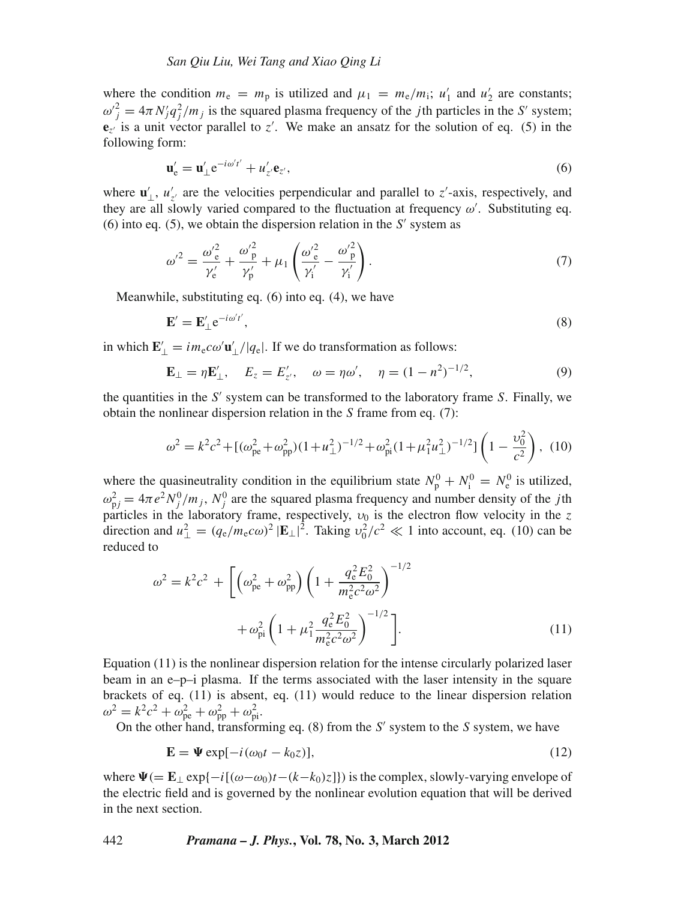where the condition  $m_e = m_p$  is utilized and  $\mu_1 = m_e/m_i$ ;  $u'_1$  and  $u'_2$  are constants;  $\omega_j^2 = 4\pi N_j q_j^2 / m_j$  is the squared plasma frequency of the *j*th particles in the *S'* system;  ${\bf e}_{z'}$  is a unit vector parallel to  $z'$ . We make an ansatz for the solution of eq. (5) in the following form:

$$
\mathbf{u}'_{e} = \mathbf{u}'_{\perp} e^{-i\omega' t'} + u'_{z'} \mathbf{e}_{z'},
$$
\n(6)

where  $\mathbf{u}'_{\perp}$ ,  $u'_{z'}$  are the velocities perpendicular and parallel to *z'*-axis, respectively, and they are all slowly varied compared to the fluctuation at frequency  $\omega'$ . Substituting eq. (6) into eq. (5), we obtain the dispersion relation in the  $S'$  system as

$$
\omega'^2 = \frac{\omega_e'^2}{\gamma_e'} + \frac{\omega_p'^2}{\gamma_p'} + \mu_1 \left( \frac{\omega_e'^2}{\gamma_i'} - \frac{\omega_p'^2}{\gamma_i'} \right). \tag{7}
$$

Meanwhile, substituting eq. (6) into eq. (4), we have

$$
\mathbf{E}' = \mathbf{E}'_{\perp} e^{-i\omega' t'},\tag{8}
$$

in which  $\mathbf{E}'_{\perp} = im_e c \omega' \mathbf{u}'_{\perp}/|q_e|$ . If we do transformation as follows:

$$
\mathbf{E}_{\perp} = \eta \mathbf{E}'_{\perp}, \quad E_z = E'_{z'}, \quad \omega = \eta \omega', \quad \eta = (1 - n^2)^{-1/2}, \tag{9}
$$

the quantities in the  $S'$  system can be transformed to the laboratory frame  $S$ . Finally, we obtain the nonlinear dispersion relation in the *S* frame from eq. (7):

$$
\omega^2 = k^2 c^2 + [(\omega_{\text{pe}}^2 + \omega_{\text{pp}}^2)(1 + u_\perp^2)^{-1/2} + \omega_{\text{pi}}^2 (1 + \mu_1^2 u_\perp^2)^{-1/2}] \left(1 - \frac{\nu_0^2}{c^2}\right), (10)
$$

where the quasineutrality condition in the equilibrium state  $N_p^0 + N_i^0 = N_e^0$  is utilized,  $\omega_{\text{p}j}^2 = 4\pi e^2 N_j^0 / m_j$ ,  $N_j^0$  are the squared plasma frequency and number density of the *j*th particles in the laboratory frame, respectively,  $v_0$  is the electron flow velocity in the  $z$ direction and  $u_{\perp}^2 = (q_e/m_e c\omega)^2 |\mathbf{E}_{\perp}|^2$ . Taking  $v_0^2/c^2 \ll 1$  into account, eq. (10) can be reduced to

$$
\omega^2 = k^2 c^2 + \left[ \left( \omega_{\text{pe}}^2 + \omega_{\text{pp}}^2 \right) \left( 1 + \frac{q_{\text{e}}^2 E_0^2}{m_{\text{e}}^2 c^2 \omega^2} \right)^{-1/2} + \omega_{\text{pi}}^2 \left( 1 + \mu_1^2 \frac{q_{\text{e}}^2 E_0^2}{m_{\text{e}}^2 c^2 \omega^2} \right)^{-1/2} \right].
$$
\n(11)

Equation (11) is the nonlinear dispersion relation for the intense circularly polarized laser beam in an e–p–i plasma. If the terms associated with the laser intensity in the square brackets of eq. (11) is absent, eq. (11) would reduce to the linear dispersion relation  $\omega^2 = k^2 c^2 + \omega_{\text{pe}}^2 + \omega_{\text{pp}}^2 + \omega_{\text{pi}}^2.$ 

On the other hand, transforming eq. (8) from the *S* system to the *S* system, we have

$$
\mathbf{E} = \mathbf{\Psi} \exp[-i(\omega_0 t - k_0 z)],\tag{12}
$$

where  $\Psi$ (= **E**<sub>⊥</sub> exp{−*i*[(ω−ω<sub>0</sub>)*t*−(*k*−*k*<sub>0</sub>)*z*]}) is the complex, slowly-varying envelope of the electric field and is governed by the nonlinear evolution equation that will be derived in the next section.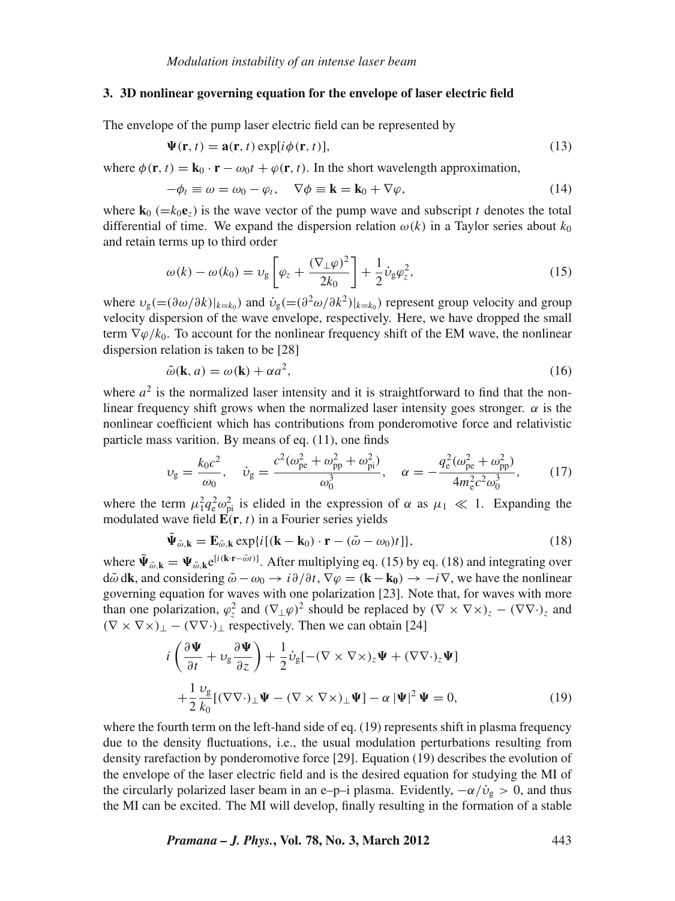#### **3. 3D nonlinear governing equation for the envelope of laser electric field**

The envelope of the pump laser electric field can be represented by

$$
\Psi(\mathbf{r},t) = \mathbf{a}(\mathbf{r},t) \exp[i\phi(\mathbf{r},t)],\tag{13}
$$

where  $\phi(\mathbf{r}, t) = \mathbf{k}_0 \cdot \mathbf{r} - \omega_0 t + \varphi(\mathbf{r}, t)$ . In the short wavelength approximation,

$$
-\phi_t \equiv \omega = \omega_0 - \varphi_t, \quad \nabla \phi \equiv \mathbf{k} = \mathbf{k}_0 + \nabla \varphi, \tag{14}
$$

where  $\mathbf{k}_0$  (= $k_0\mathbf{e}_z$ ) is the wave vector of the pump wave and subscript *t* denotes the total differential of time. We expand the dispersion relation  $\omega(k)$  in a Taylor series about  $k_0$ and retain terms up to third order

$$
\omega(k) - \omega(k_0) = \upsilon_{\mathbf{g}} \left[ \varphi_z + \frac{(\nabla_{\perp} \varphi)^2}{2k_0} \right] + \frac{1}{2} \dot{\upsilon}_{\mathbf{g}} \varphi_z^2, \tag{15}
$$

where  $v_g = (\partial \omega/\partial k)|_{k=k_0}$  and  $\dot{v}_g = (\partial^2 \omega/\partial k^2)|_{k=k_0}$  represent group velocity and group velocity dispersion of the wave envelope, respectively. Here, we have dropped the small term  $\nabla \varphi/k_0$ . To account for the nonlinear frequency shift of the EM wave, the nonlinear dispersion relation is taken to be [28]

$$
\tilde{\omega}(\mathbf{k}, a) = \omega(\mathbf{k}) + \alpha a^2,\tag{16}
$$

where  $a^2$  is the normalized laser intensity and it is straightforward to find that the nonlinear frequency shift grows when the normalized laser intensity goes stronger.  $\alpha$  is the nonlinear coefficient which has contributions from ponderomotive force and relativistic particle mass varition. By means of eq. (11), one finds

$$
\upsilon_{\rm g} = \frac{k_0 c^2}{\omega_0}, \quad \dot{\upsilon}_{\rm g} = \frac{c^2 (\omega_{\rm pe}^2 + \omega_{\rm pp}^2 + \omega_{\rm pi}^2)}{\omega_0^3}, \quad \alpha = -\frac{q_{\rm e}^2 (\omega_{\rm pe}^2 + \omega_{\rm pp}^2)}{4m_{\rm e}^2 c^2 \omega_0^3},\tag{17}
$$

where the term  $\mu_1^2 q_e^2 \omega_{pi}^2$  is elided in the expression of  $\alpha$  as  $\mu_1 \ll 1$ . Expanding the modulated wave field  $\mathbf{E}(\mathbf{r}, t)$  in a Fourier series yields

$$
\tilde{\Psi}_{\tilde{\omega},\mathbf{k}} = \mathbf{E}_{\tilde{\omega},\mathbf{k}} \exp\{i[(\mathbf{k} - \mathbf{k}_0) \cdot \mathbf{r} - (\tilde{\omega} - \omega_0)t]\},\tag{18}
$$

where  $\tilde{\Psi}_{\tilde{\omega},\mathbf{k}} = \Psi_{\tilde{\omega},\mathbf{k}} e^{[i(\mathbf{k}\cdot\mathbf{r}-\tilde{\omega}t)]}$ . After multiplying eq. (15) by eq. (18) and integrating over  $d\tilde{\omega}$  d**k**, and considering  $\tilde{\omega} - \omega_0 \rightarrow i\partial/\partial t$ ,  $\nabla \varphi = (\mathbf{k} - \mathbf{k}_0) \rightarrow -i\nabla$ , we have the nonlinear governing equation for waves with one polarization [23]. Note that, for waves with more than one polarization,  $\varphi_z^2$  and  $(\nabla_\perp \varphi)^2$  should be replaced by  $(\nabla \times \nabla \times)_z - (\nabla \nabla \cdot)_z$  and  $(\nabla \times \nabla \times)_{\perp} - (\nabla \nabla \cdot)_{\perp}$  respectively. Then we can obtain [24]

$$
i\left(\frac{\partial\Psi}{\partial t} + \nu_{g}\frac{\partial\Psi}{\partial z}\right) + \frac{1}{2}\dot{\nu}_{g}[-(\nabla\times\nabla\times)_{z}\Psi + (\nabla\nabla\cdot)_{z}\Psi] + \frac{1}{2}\frac{\nu_{g}}{k_{0}}[(\nabla\nabla\cdot)_{\perp}\Psi - (\nabla\times\nabla\times)_{\perp}\Psi] - \alpha|\Psi|^{2}\Psi = 0,
$$
(19)

where the fourth term on the left-hand side of eq. (19) represents shift in plasma frequency due to the density fluctuations, i.e., the usual modulation perturbations resulting from density rarefaction by ponderomotive force [29]. Equation (19) describes the evolution of the envelope of the laser electric field and is the desired equation for studying the MI of the circularly polarized laser beam in an e–p–i plasma. Evidently,  $-\alpha/\dot{v}_g > 0$ , and thus the MI can be excited. The MI will develop, finally resulting in the formation of a stable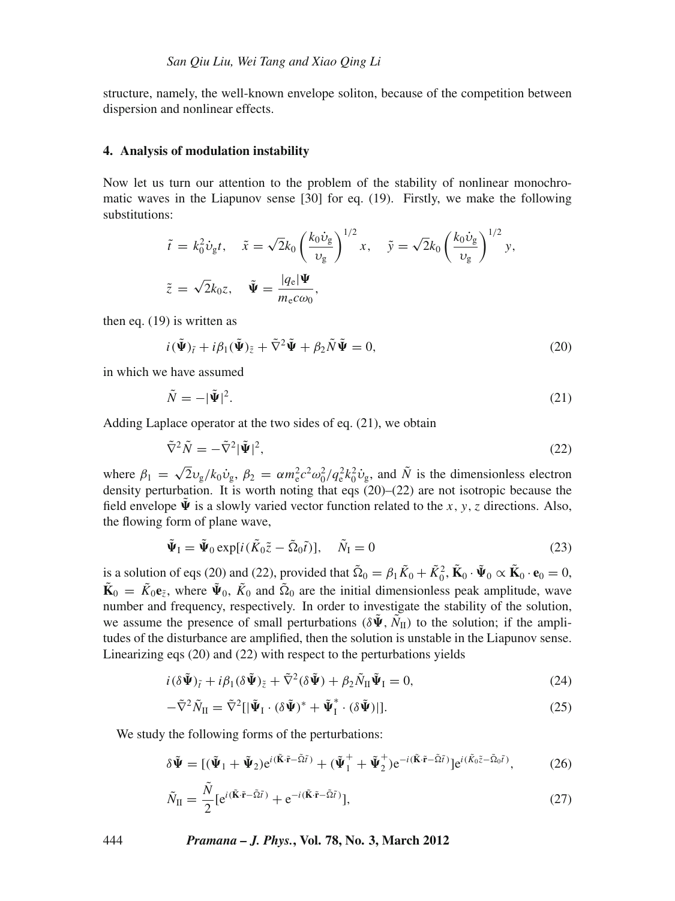structure, namely, the well-known envelope soliton, because of the competition between dispersion and nonlinear effects.

#### **4. Analysis of modulation instability**

Now let us turn our attention to the problem of the stability of nonlinear monochromatic waves in the Liapunov sense [30] for eq. (19). Firstly, we make the following substitutions:

$$
\tilde{t} = k_0^2 \dot{v}_{\rm g} t, \quad \tilde{x} = \sqrt{2} k_0 \left(\frac{k_0 \dot{v}_{\rm g}}{v_{\rm g}}\right)^{1/2} x, \quad \tilde{y} = \sqrt{2} k_0 \left(\frac{k_0 \dot{v}_{\rm g}}{v_{\rm g}}\right)^{1/2} y,
$$
\n
$$
\tilde{z} = \sqrt{2} k_0 z, \quad \tilde{\Psi} = \frac{|q_{\rm e}|\Psi}{m_{\rm e} c \omega_0},
$$

then eq. (19) is written as

$$
i(\tilde{\Psi})_{\tilde{t}} + i\beta_1(\tilde{\Psi})_{\tilde{z}} + \tilde{\nabla}^2 \tilde{\Psi} + \beta_2 \tilde{N} \tilde{\Psi} = 0, \qquad (20)
$$

in which we have assumed

$$
\tilde{N} = -|\tilde{\Psi}|^2. \tag{21}
$$

Adding Laplace operator at the two sides of eq. (21), we obtain

$$
\tilde{\nabla}^2 \tilde{N} = -\tilde{\nabla}^2 |\tilde{\Psi}|^2, \tag{22}
$$

where  $\beta_1 = \sqrt{2}v_g/k_0\dot{v}_g$ ,  $\beta_2 = \alpha m_e^2 c^2 \omega_0^2 / q_e^2 k_0^2 \dot{v}_g$ , and  $\tilde{N}$  is the dimensionless electron density perturbation. It is worth noting that eqs (20)–(22) are not isotropic because the field envelope  $\tilde{\Psi}$  is a slowly varied vector function related to the *x*, *y*, *z* directions. Also, the flowing form of plane wave,

$$
\tilde{\Psi}_{\mathcal{I}} = \tilde{\Psi}_0 \exp[i(\tilde{K}_0 \tilde{z} - \tilde{\Omega}_0 \tilde{t})], \quad \tilde{N}_{\mathcal{I}} = 0 \tag{23}
$$

is a solution of eqs (20) and (22), provided that  $\tilde{\Omega}_0 = \beta_1 \tilde{K}_0 + \tilde{K}_0^2$ ,  $\tilde{\mathbf{K}}_0 \cdot \tilde{\mathbf{\Psi}}_0 \propto \tilde{\mathbf{K}}_0 \cdot \mathbf{e}_0 = 0$ ,  $\tilde{\mathbf{K}}_0 = \tilde{K}_0 \mathbf{e}_{\tilde{z}}$ , where  $\tilde{\Psi}_0$ ,  $\tilde{K}_0$  and  $\tilde{\Omega}_0$  are the initial dimensionless peak amplitude, wave number and frequency, respectively. In order to investigate the stability of the solution, we assume the presence of small perturbations ( $\delta \tilde{\Psi}$ ,  $\tilde{N}_{II}$ ) to the solution; if the amplitudes of the disturbance are amplified, then the solution is unstable in the Liapunov sense. Linearizing eqs (20) and (22) with respect to the perturbations yields

$$
i(\delta\tilde{\Psi})_{\tilde{t}} + i\beta_1(\delta\tilde{\Psi})_{\tilde{z}} + \tilde{\nabla}^2(\delta\tilde{\Psi}) + \beta_2 \tilde{N}_{\Pi}\tilde{\Psi}_{\Pi} = 0, \tag{24}
$$

$$
-\tilde{\nabla}^2 \tilde{N}_{II} = \tilde{\nabla}^2 [|\tilde{\Psi}_I \cdot (\delta \tilde{\Psi})^* + \tilde{\Psi}_I^* \cdot (\delta \tilde{\Psi})|]. \tag{25}
$$

We study the following forms of the perturbations:

$$
\delta \tilde{\Psi} = [(\tilde{\Psi}_1 + \tilde{\Psi}_2) e^{i(\tilde{\mathbf{K}} \cdot \tilde{\mathbf{r}} - \tilde{\Omega} \tilde{t})} + (\tilde{\Psi}_1^+ + \tilde{\Psi}_2^+) e^{-i(\tilde{\mathbf{K}} \cdot \tilde{\mathbf{r}} - \tilde{\Omega} \tilde{t})}] e^{i(\tilde{K}_0 \tilde{z} - \tilde{\Omega}_0 \tilde{t})}, \tag{26}
$$

$$
\tilde{N}_{\rm II} = \frac{\tilde{N}}{2} \left[ e^{i(\tilde{\mathbf{K}} \cdot \tilde{\mathbf{r}} - \tilde{\Omega} \tilde{t})} + e^{-i(\tilde{\mathbf{K}} \cdot \tilde{\mathbf{r}} - \tilde{\Omega} \tilde{t})} \right],\tag{27}
$$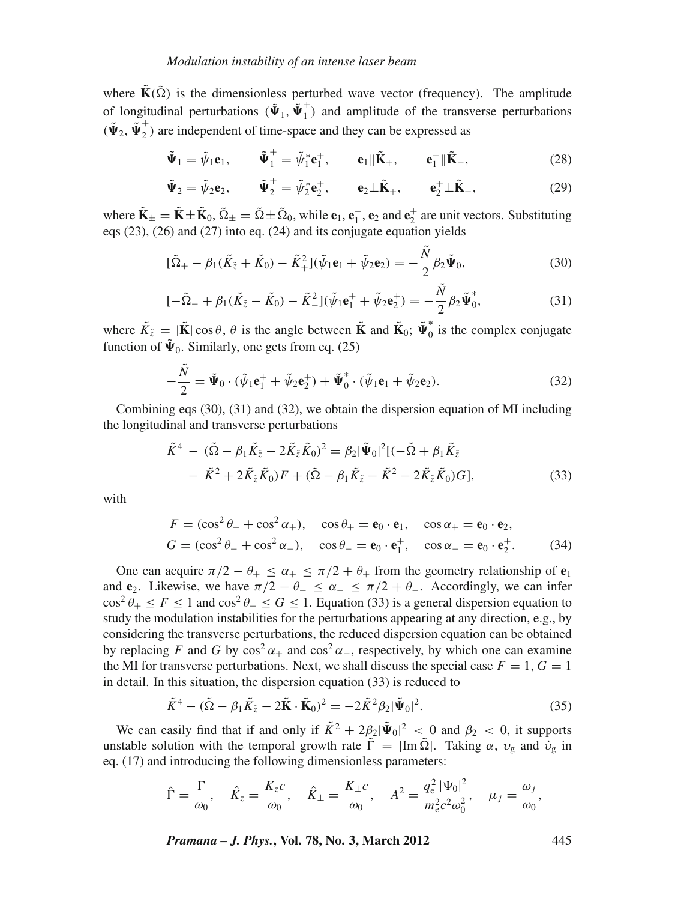where  $\tilde{\mathbf{K}}(\tilde{\Omega})$  is the dimensionless perturbed wave vector (frequency). The amplitude of longitudinal perturbations  $(\tilde{\Psi}_1, \tilde{\Psi}_1^+)$  and amplitude of the transverse perturbations  $(\tilde{\Psi}_2, \tilde{\Psi}_2^+)$  are independent of time-space and they can be expressed as

$$
\tilde{\Psi}_1 = \tilde{\psi}_1 \mathbf{e}_1, \qquad \tilde{\Psi}_1^+ = \tilde{\psi}_1^* \mathbf{e}_1^+, \qquad \mathbf{e}_1 \| \tilde{\mathbf{K}}_+, \qquad \mathbf{e}_1^+ \| \tilde{\mathbf{K}}_-, \tag{28}
$$

$$
\tilde{\Psi}_2 = \tilde{\psi}_2 \mathbf{e}_2, \qquad \tilde{\Psi}_2^+ = \tilde{\psi}_2^* \mathbf{e}_2^+, \qquad \mathbf{e}_2 \perp \tilde{\mathbf{K}}_+, \qquad \mathbf{e}_2^+ \perp \tilde{\mathbf{K}}_-, \tag{29}
$$

where  $\tilde{\mathbf{K}}_{\pm} = \tilde{\mathbf{K}} \pm \tilde{\mathbf{K}}_0$ ,  $\tilde{\Omega}_{\pm} = \tilde{\Omega} \pm \tilde{\Omega}_0$ , while  $\mathbf{e}_1$ ,  $\mathbf{e}_1^+$ ,  $\mathbf{e}_2$  and  $\mathbf{e}_2^+$  are unit vectors. Substituting eqs (23), (26) and (27) into eq. (24) and its conjugate equation yields

$$
[\tilde{\Omega}_{+} - \beta_1 (\tilde{K}_{\tilde{z}} + \tilde{K}_0) - \tilde{K}_+^2](\tilde{\psi}_1 \mathbf{e}_1 + \tilde{\psi}_2 \mathbf{e}_2) = -\frac{\tilde{N}}{2} \beta_2 \tilde{\Psi}_0, \tag{30}
$$

$$
[-\tilde{\Omega}_{-} + \beta_{1}(\tilde{K}_{\tilde{z}} - \tilde{K}_{0}) - \tilde{K}_{-}^{2}](\tilde{\psi}_{1}\mathbf{e}_{1}^{+} + \tilde{\psi}_{2}\mathbf{e}_{2}^{+}) = -\frac{\tilde{N}}{2}\beta_{2}\tilde{\Psi}_{0}^{*},
$$
\n(31)

where  $\tilde{K}_{\tilde{z}} = |\tilde{\mathbf{K}}| \cos \theta$ ,  $\theta$  is the angle between  $\tilde{\mathbf{K}}$  and  $\tilde{\mathbf{K}}_0$ ;  $\tilde{\boldsymbol{\Psi}}_0^*$  is the complex conjugate function of  $\tilde{\Psi}_0$ . Similarly, one gets from eq. (25)

$$
-\frac{\tilde{N}}{2} = \tilde{\Psi}_0 \cdot (\tilde{\psi}_1 \mathbf{e}_1^+ + \tilde{\psi}_2 \mathbf{e}_2^+) + \tilde{\Psi}_0^* \cdot (\tilde{\psi}_1 \mathbf{e}_1 + \tilde{\psi}_2 \mathbf{e}_2).
$$
 (32)

Combining eqs (30), (31) and (32), we obtain the dispersion equation of MI including the longitudinal and transverse perturbations

$$
\tilde{K}^4 - (\tilde{\Omega} - \beta_1 \tilde{K}_{\tilde{z}} - 2\tilde{K}_{\tilde{z}} \tilde{K}_0)^2 = \beta_2 |\tilde{\Psi}_0|^2 [(-\tilde{\Omega} + \beta_1 \tilde{K}_{\tilde{z}}\n- \tilde{K}^2 + 2\tilde{K}_{\tilde{z}} \tilde{K}_0) F + (\tilde{\Omega} - \beta_1 \tilde{K}_{\tilde{z}} - \tilde{K}^2 - 2\tilde{K}_{\tilde{z}} \tilde{K}_0) G],
$$
\n(33)

with

$$
F = (\cos^2 \theta_+ + \cos^2 \alpha_+), \quad \cos \theta_+ = \mathbf{e}_0 \cdot \mathbf{e}_1, \quad \cos \alpha_+ = \mathbf{e}_0 \cdot \mathbf{e}_2,
$$
  
\n
$$
G = (\cos^2 \theta_- + \cos^2 \alpha_-), \quad \cos \theta_- = \mathbf{e}_0 \cdot \mathbf{e}_1^+, \quad \cos \alpha_- = \mathbf{e}_0 \cdot \mathbf{e}_2^+.
$$
 (34)

One can acquire  $\pi/2 - \theta_+ \leq \alpha_+ \leq \pi/2 + \theta_+$  from the geometry relationship of  $e_1$ and **e**<sub>2</sub>. Likewise, we have  $\pi/2 - \theta_- \le \alpha_- \le \pi/2 + \theta_-$ . Accordingly, we can infer  $\cos^2 \theta_+ \leq F \leq 1$  and  $\cos^2 \theta_- \leq G \leq 1$ . Equation (33) is a general dispersion equation to study the modulation instabilities for the perturbations appearing at any direction, e.g., by considering the transverse perturbations, the reduced dispersion equation can be obtained by replacing *F* and *G* by  $\cos^2 \alpha_+$  and  $\cos^2 \alpha_-$ , respectively, by which one can examine the MI for transverse perturbations. Next, we shall discuss the special case  $F = 1, G = 1$ in detail. In this situation, the dispersion equation (33) is reduced to

$$
\tilde{K}^4 - (\tilde{\Omega} - \beta_1 \tilde{K}_{\tilde{z}} - 2\tilde{\mathbf{K}} \cdot \tilde{\mathbf{K}}_0)^2 = -2\tilde{K}^2 \beta_2 |\tilde{\Psi}_0|^2.
$$
\n(35)

We can easily find that if and only if  $\tilde{K}^2 + 2\beta_2 |\tilde{\Psi}_0|^2 < 0$  and  $\beta_2 < 0$ , it supports unstable solution with the temporal growth rate  $\tilde{\Gamma} = |\text{Im } \tilde{\Omega}|$ . Taking  $\alpha$ ,  $v_g$  and  $\dot{v}_g$  in eq. (17) and introducing the following dimensionless parameters:

$$
\hat{\Gamma} = \frac{\Gamma}{\omega_0}, \quad \hat{K}_z = \frac{K_z c}{\omega_0}, \quad \hat{K}_\perp = \frac{K_\perp c}{\omega_0}, \quad A^2 = \frac{q_\text{e}^2 |\Psi_0|^2}{m_\text{e}^2 c^2 \omega_0^2}, \quad \mu_j = \frac{\omega_j}{\omega_0},
$$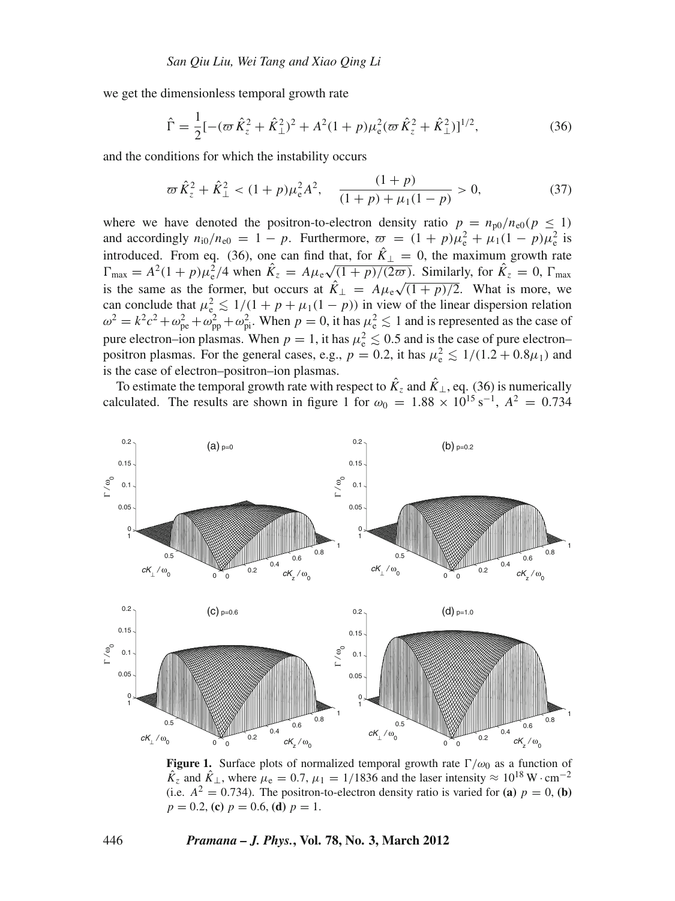we get the dimensionless temporal growth rate

$$
\hat{\Gamma} = \frac{1}{2} [-(\omega \hat{K}_z^2 + \hat{K}_\perp^2)^2 + A^2 (1+p)\mu_e^2 (\omega \hat{K}_z^2 + \hat{K}_\perp^2)]^{1/2},\tag{36}
$$

and the conditions for which the instability occurs

$$
\varpi \hat{K}_z^2 + \hat{K}_\perp^2 < (1+p)\mu_e^2 A^2, \quad \frac{(1+p)}{(1+p) + \mu_1(1-p)} > 0,\tag{37}
$$

where we have denoted the positron-to-electron density ratio  $p = n_{p0}/n_{e0}(p \le 1)$ and accordingly  $n_{i0}/n_{e0} = 1 - p$ . Furthermore,  $\overline{\omega} = (1 + p)\mu_e^2 + \mu_1(1 - p)\mu_e^2$  is introduced. From eq. (36), one can find that, for  $\hat{K}_{\perp} = 0$ , the maximum growth rate  $\Gamma_{\text{max}} = A^2(1+p)\mu_e^2/4$  when  $\hat{K}_z = A\mu_e\sqrt{(1+p)/(2\pi)}$ . Similarly, for  $\hat{K}_z = 0$ ,  $\Gamma_{\text{max}}$ is the same as the former, but occurs at  $\hat{K}_{\perp} = A\mu_{\rm e}\sqrt{(1+p)/2}$ . What is more, we  $\hat{K}_{\rm e} = A\mu_{\rm e}$ can conclude that  $\mu_e^2 \leq 1/(1 + p + \mu_1(1 - p))$  in view of the linear dispersion relation  $\omega^2 = k^2 c^2 + \omega_{\text{pe}}^2 + \omega_{\text{pp}}^2 + \omega_{\text{pi}}^2$ . When  $p = 0$ , it has  $\mu_{\text{e}}^2 \le 1$  and is represented as the case of pure electron–ion plasmas. When  $p = 1$ , it has  $\mu_e^2 \leq 0.5$  and is the case of pure electron– positron plasmas. For the general cases, e.g.,  $p = 0.2$ , it has  $\mu_e^2 \le 1/(1.2 + 0.8\mu_1)$  and is the case of electron–positron–ion plasmas.

To estimate the temporal growth rate with respect to  $\hat{K}_z$  and  $\hat{K}_\perp$ , eq. (36) is numerically calculated. The results are shown in figure 1 for  $\omega_0 = 1.88 \times 10^{15} \text{ s}^{-1}$ ,  $A^2 = 0.734$ 



**Figure 1.** Surface plots of normalized temporal growth rate  $\Gamma/\omega_0$  as a function of  $\ddot{K}_z$  and  $\ddot{K}_\perp$ , where  $\mu_e = 0.7$ ,  $\mu_1 = 1/1836$  and the laser intensity  $\approx 10^{18} \,\text{W} \cdot \text{cm}^{-2}$ (i.e.  $A^2 = 0.734$ ). The positron-to-electron density ratio is varied for (a)  $p = 0$ , (b)  $p = 0.2$ , **(c)**  $p = 0.6$ , **(d)**  $p = 1$ .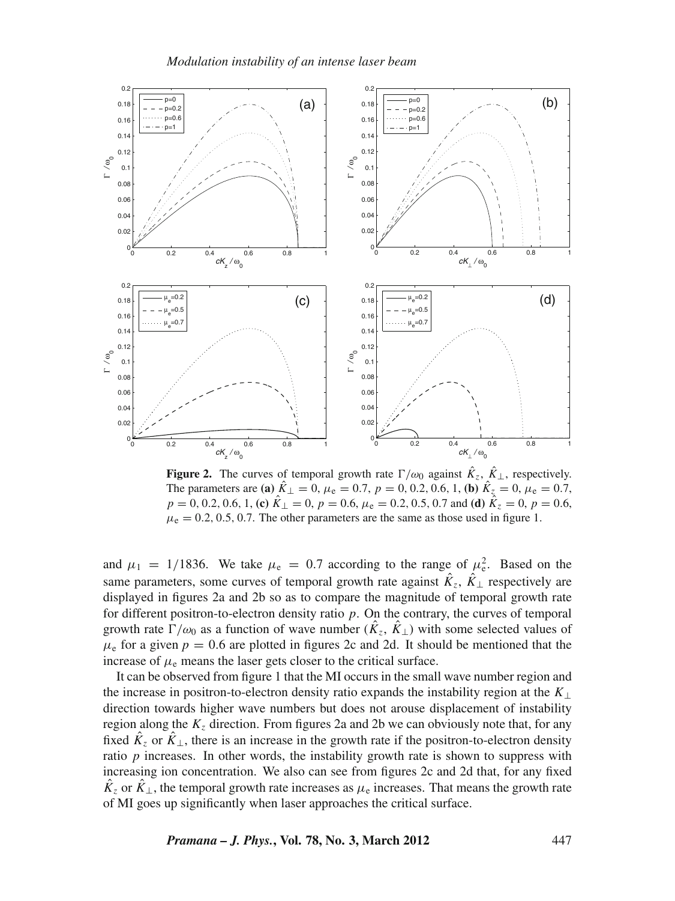

**Figure 2.** The curves of temporal growth rate  $\Gamma/\omega_0$  against  $\hat{K}_z$ ,  $\hat{K}_\perp$ , respectively. The parameters are **(a)**  $\hat{K}_{\perp} = 0$ ,  $\mu_e = 0.7$ ,  $p = 0, 0.2, 0.6, 1$ , **(b)**  $\hat{K}_{z} = 0$ ,  $\mu_e = 0.7$ ,  $p = 0, 0.2, 0.6, 1,$  **(c)**  $\hat{K}_{\perp} = 0$ ,  $p = 0.6$ ,  $\mu_e = 0.2, 0.5, 0.7$  and **(d)**  $\hat{K}_{z} = 0$ ,  $p = 0.6$ ,  $\mu_{\rm e} = 0.2, 0.5, 0.7$ . The other parameters are the same as those used in figure 1.

and  $\mu_1 = 1/1836$ . We take  $\mu_e = 0.7$  according to the range of  $\mu_e^2$ . Based on the same parameters, some curves of temporal growth rate against  $\hat{K}_z$ ,  $\hat{K}_\perp$  respectively are displayed in figures 2a and 2b so as to compare the magnitude of temporal growth rate for different positron-to-electron density ratio *p*. On the contrary, the curves of temporal growth rate  $\Gamma/\omega_0$  as a function of wave number  $(\hat{K}_z, \hat{K}_\perp)$  with some selected values of  $\mu_e$  for a given  $p = 0.6$  are plotted in figures 2c and 2d. It should be mentioned that the increase of  $\mu_e$  means the laser gets closer to the critical surface.

It can be observed from figure 1 that the MI occurs in the small wave number region and the increase in positron-to-electron density ratio expands the instability region at the *K*<sup>⊥</sup> direction towards higher wave numbers but does not arouse displacement of instability region along the  $K_z$  direction. From figures 2a and 2b we can obviously note that, for any fixed  $\hat{K}_z$  or  $\hat{K}_\perp$ , there is an increase in the growth rate if the positron-to-electron density ratio *p* increases. In other words, the instability growth rate is shown to suppress with increasing ion concentration. We also can see from figures 2c and 2d that, for any fixed  $K_z$  or  $K_{\perp}$ , the temporal growth rate increases as  $\mu_e$  increases. That means the growth rate of MI goes up significantly when laser approaches the critical surface.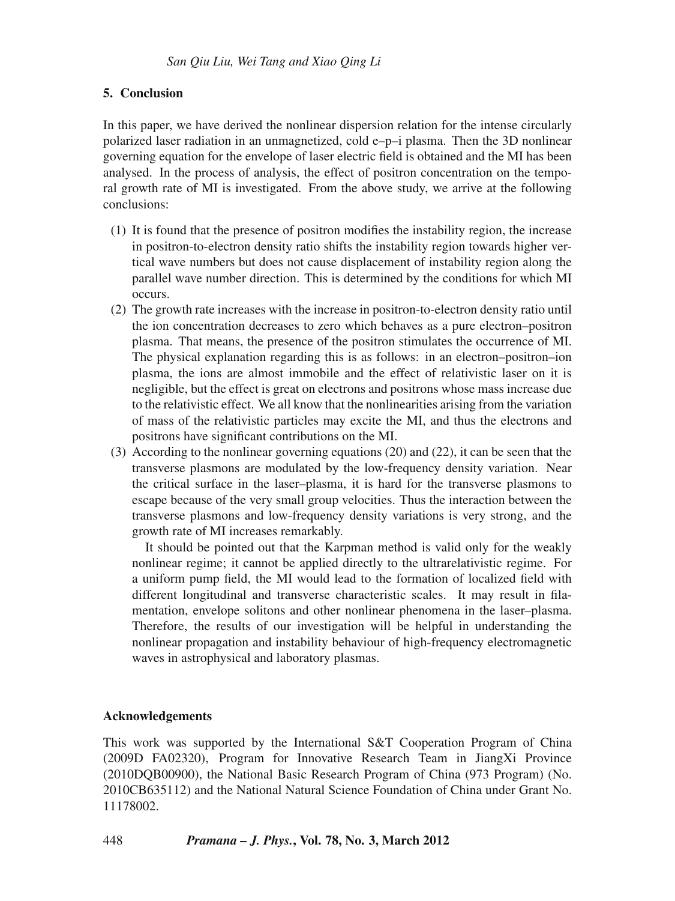## **5. Conclusion**

In this paper, we have derived the nonlinear dispersion relation for the intense circularly polarized laser radiation in an unmagnetized, cold e–p–i plasma. Then the 3D nonlinear governing equation for the envelope of laser electric field is obtained and the MI has been analysed. In the process of analysis, the effect of positron concentration on the temporal growth rate of MI is investigated. From the above study, we arrive at the following conclusions:

- (1) It is found that the presence of positron modifies the instability region, the increase in positron-to-electron density ratio shifts the instability region towards higher vertical wave numbers but does not cause displacement of instability region along the parallel wave number direction. This is determined by the conditions for which MI occurs.
- (2) The growth rate increases with the increase in positron-to-electron density ratio until the ion concentration decreases to zero which behaves as a pure electron–positron plasma. That means, the presence of the positron stimulates the occurrence of MI. The physical explanation regarding this is as follows: in an electron–positron–ion plasma, the ions are almost immobile and the effect of relativistic laser on it is negligible, but the effect is great on electrons and positrons whose mass increase due to the relativistic effect. We all know that the nonlinearities arising from the variation of mass of the relativistic particles may excite the MI, and thus the electrons and positrons have significant contributions on the MI.
- (3) According to the nonlinear governing equations (20) and (22), it can be seen that the transverse plasmons are modulated by the low-frequency density variation. Near the critical surface in the laser–plasma, it is hard for the transverse plasmons to escape because of the very small group velocities. Thus the interaction between the transverse plasmons and low-frequency density variations is very strong, and the growth rate of MI increases remarkably.

It should be pointed out that the Karpman method is valid only for the weakly nonlinear regime; it cannot be applied directly to the ultrarelativistic regime. For a uniform pump field, the MI would lead to the formation of localized field with different longitudinal and transverse characteristic scales. It may result in filamentation, envelope solitons and other nonlinear phenomena in the laser–plasma. Therefore, the results of our investigation will be helpful in understanding the nonlinear propagation and instability behaviour of high-frequency electromagnetic waves in astrophysical and laboratory plasmas.

## **Acknowledgements**

This work was supported by the International S&T Cooperation Program of China (2009D FA02320), Program for Innovative Research Team in JiangXi Province (2010DQB00900), the National Basic Research Program of China (973 Program) (No. 2010CB635112) and the National Natural Science Foundation of China under Grant No. 11178002.